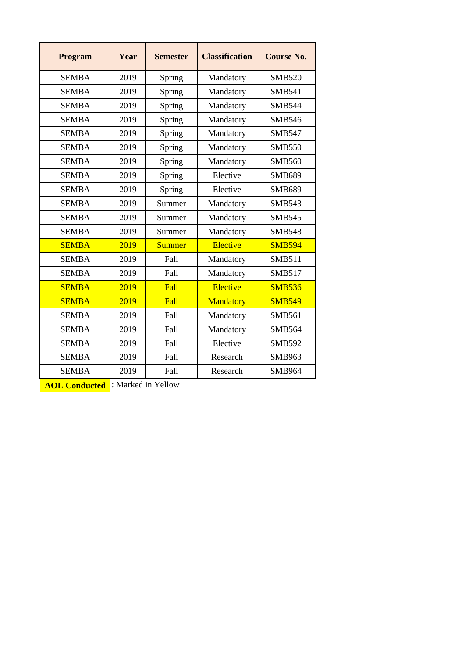| <b>Program</b> | Year | <b>Semester</b>     | <b>Classification</b> | <b>Course No.</b> |  |
|----------------|------|---------------------|-----------------------|-------------------|--|
| <b>SEMBA</b>   | 2019 | Spring              | Mandatory             | <b>SMB520</b>     |  |
| <b>SEMBA</b>   | 2019 | Spring              | Mandatory             | <b>SMB541</b>     |  |
| <b>SEMBA</b>   | 2019 | Spring              | Mandatory             | <b>SMB544</b>     |  |
| <b>SEMBA</b>   | 2019 | Spring<br>Mandatory |                       | <b>SMB546</b>     |  |
| <b>SEMBA</b>   | 2019 | Spring              | Mandatory             | <b>SMB547</b>     |  |
| <b>SEMBA</b>   | 2019 | Spring              | Mandatory             | <b>SMB550</b>     |  |
| <b>SEMBA</b>   | 2019 | Spring              | Mandatory             | <b>SMB560</b>     |  |
| <b>SEMBA</b>   | 2019 | Spring              | Elective              | <b>SMB689</b>     |  |
| <b>SEMBA</b>   | 2019 | Spring              | Elective              | <b>SMB689</b>     |  |
| <b>SEMBA</b>   | 2019 | Summer              | Mandatory             | <b>SMB543</b>     |  |
| <b>SEMBA</b>   | 2019 | Summer              | Mandatory             | <b>SMB545</b>     |  |
| <b>SEMBA</b>   | 2019 | Summer              | Mandatory             | <b>SMB548</b>     |  |
| <b>SEMBA</b>   | 2019 | <b>Summer</b>       | Elective              | <b>SMB594</b>     |  |
| <b>SEMBA</b>   | 2019 | Fall                | Mandatory             | <b>SMB511</b>     |  |
| <b>SEMBA</b>   | 2019 | Fall                | Mandatory             | <b>SMB517</b>     |  |
| <b>SEMBA</b>   | 2019 | Fall                | Elective              | <b>SMB536</b>     |  |
| <b>SEMBA</b>   | 2019 | Fall                | Mandatory             | <b>SMB549</b>     |  |
| <b>SEMBA</b>   | 2019 | Fall                | Mandatory             | <b>SMB561</b>     |  |
| <b>SEMBA</b>   | 2019 | Fall                | Mandatory             | <b>SMB564</b>     |  |
| <b>SEMBA</b>   | 2019 | Fall                | Elective              | <b>SMB592</b>     |  |
| <b>SEMBA</b>   | 2019 | Fall                | Research              | <b>SMB963</b>     |  |
| <b>SEMBA</b>   | 2019 | Fall                | Research              | <b>SMB964</b>     |  |

**AOL Conducted** : Marked in Yellow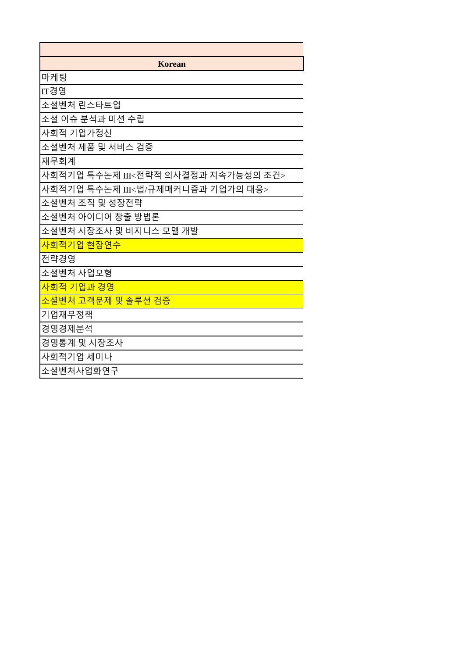| <b>Korean</b>                       |
|-------------------------------------|
| 마케팅                                 |
| IT경영                                |
| 소셜벤처 린스타트업                          |
| 소셜 이슈 분석과 미션 수립                     |
| 사회적 기업가정신                           |
| 소셜벤처 제품 및 서비스 검증                    |
| 재무회계                                |
| 사회적기업 특수논제 III<전략적 의사결정과 지속가능성의 조건> |
| 사회적기업 특수논제 III<법/규제매커니즘과 기업가의 대응>   |
| 소셜벤처 조직 및 성장전략                      |
| 소셜벤처 아이디어 창출 방법론                    |
| 소셜벤처 시장조사 및 비지니스 모델 개발              |
| 사회적기업 현장연수                          |
| 전략경영                                |
| 소셜벤처 사업모형                           |
| 사회적 기업과 경영                          |
| 소셜벤처 고객문제 및 솔루션 검증                  |
| 기업재무정책                              |
| 경영경제분석                              |
| 경영통계 및 시장조사                         |
| 사회적기업 세미나                           |
| 소셜벤처사업화연구                           |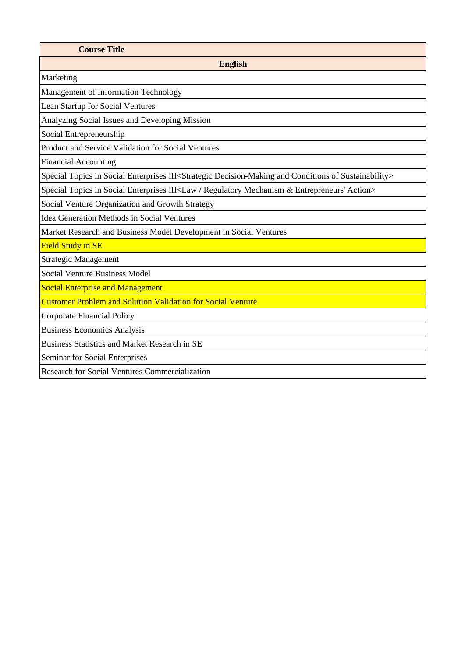| <b>Course Title</b>                                                                                                              |  |  |  |  |  |  |
|----------------------------------------------------------------------------------------------------------------------------------|--|--|--|--|--|--|
| <b>English</b>                                                                                                                   |  |  |  |  |  |  |
| Marketing                                                                                                                        |  |  |  |  |  |  |
| Management of Information Technology                                                                                             |  |  |  |  |  |  |
| Lean Startup for Social Ventures                                                                                                 |  |  |  |  |  |  |
| Analyzing Social Issues and Developing Mission                                                                                   |  |  |  |  |  |  |
| Social Entrepreneurship                                                                                                          |  |  |  |  |  |  |
| Product and Service Validation for Social Ventures                                                                               |  |  |  |  |  |  |
| <b>Financial Accounting</b>                                                                                                      |  |  |  |  |  |  |
| Special Topics in Social Enterprises III <strategic and="" conditions="" decision-making="" of="" sustainability=""></strategic> |  |  |  |  |  |  |
| Special Topics in Social Enterprises III <law &="" action="" entrepreneurs'="" mechanism="" regulatory=""></law>                 |  |  |  |  |  |  |
| Social Venture Organization and Growth Strategy                                                                                  |  |  |  |  |  |  |
| <b>Idea Generation Methods in Social Ventures</b>                                                                                |  |  |  |  |  |  |
| Market Research and Business Model Development in Social Ventures                                                                |  |  |  |  |  |  |
| <b>Field Study in SE</b>                                                                                                         |  |  |  |  |  |  |
| <b>Strategic Management</b>                                                                                                      |  |  |  |  |  |  |
| <b>Social Venture Business Model</b>                                                                                             |  |  |  |  |  |  |
| <b>Social Enterprise and Management</b>                                                                                          |  |  |  |  |  |  |
| <b>Customer Problem and Solution Validation for Social Venture</b>                                                               |  |  |  |  |  |  |
| <b>Corporate Financial Policy</b>                                                                                                |  |  |  |  |  |  |
| <b>Business Economics Analysis</b>                                                                                               |  |  |  |  |  |  |
| <b>Business Statistics and Market Research in SE</b>                                                                             |  |  |  |  |  |  |
| Seminar for Social Enterprises                                                                                                   |  |  |  |  |  |  |
| <b>Research for Social Ventures Commercialization</b>                                                                            |  |  |  |  |  |  |